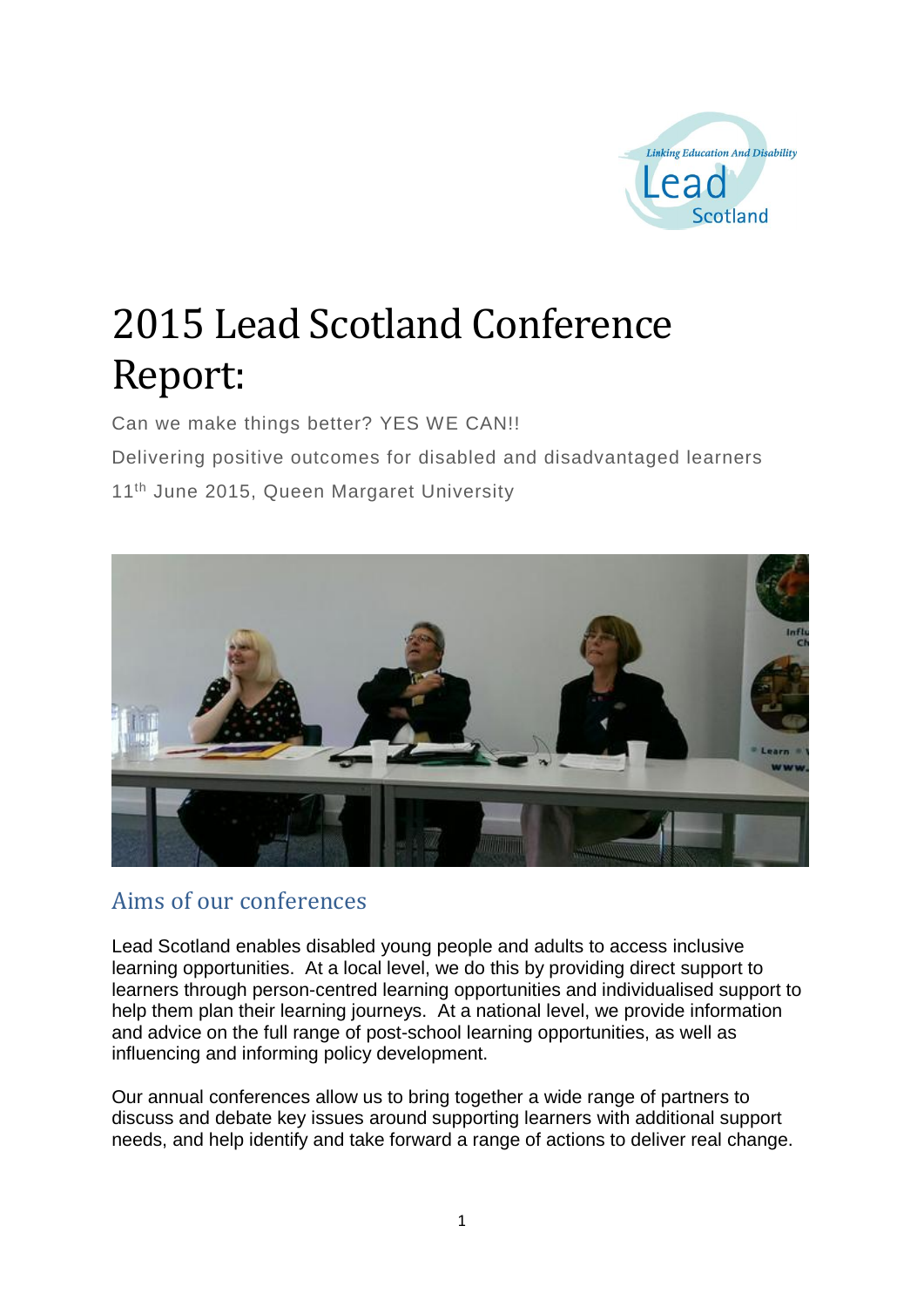

# 2015 Lead Scotland Conference Report:

Can we make things better? YES WE CAN!!

Delivering positive outcomes for disabled and disadvantaged learners

11<sup>th</sup> June 2015, Queen Margaret University



## Aims of our conferences

Lead Scotland enables disabled young people and adults to access inclusive learning opportunities. At a local level, we do this by providing direct support to learners through person-centred learning opportunities and individualised support to help them plan their learning journeys. At a national level, we provide information and advice on the full range of post-school learning opportunities, as well as influencing and informing policy development.

Our annual conferences allow us to bring together a wide range of partners to discuss and debate key issues around supporting learners with additional support needs, and help identify and take forward a range of actions to deliver real change.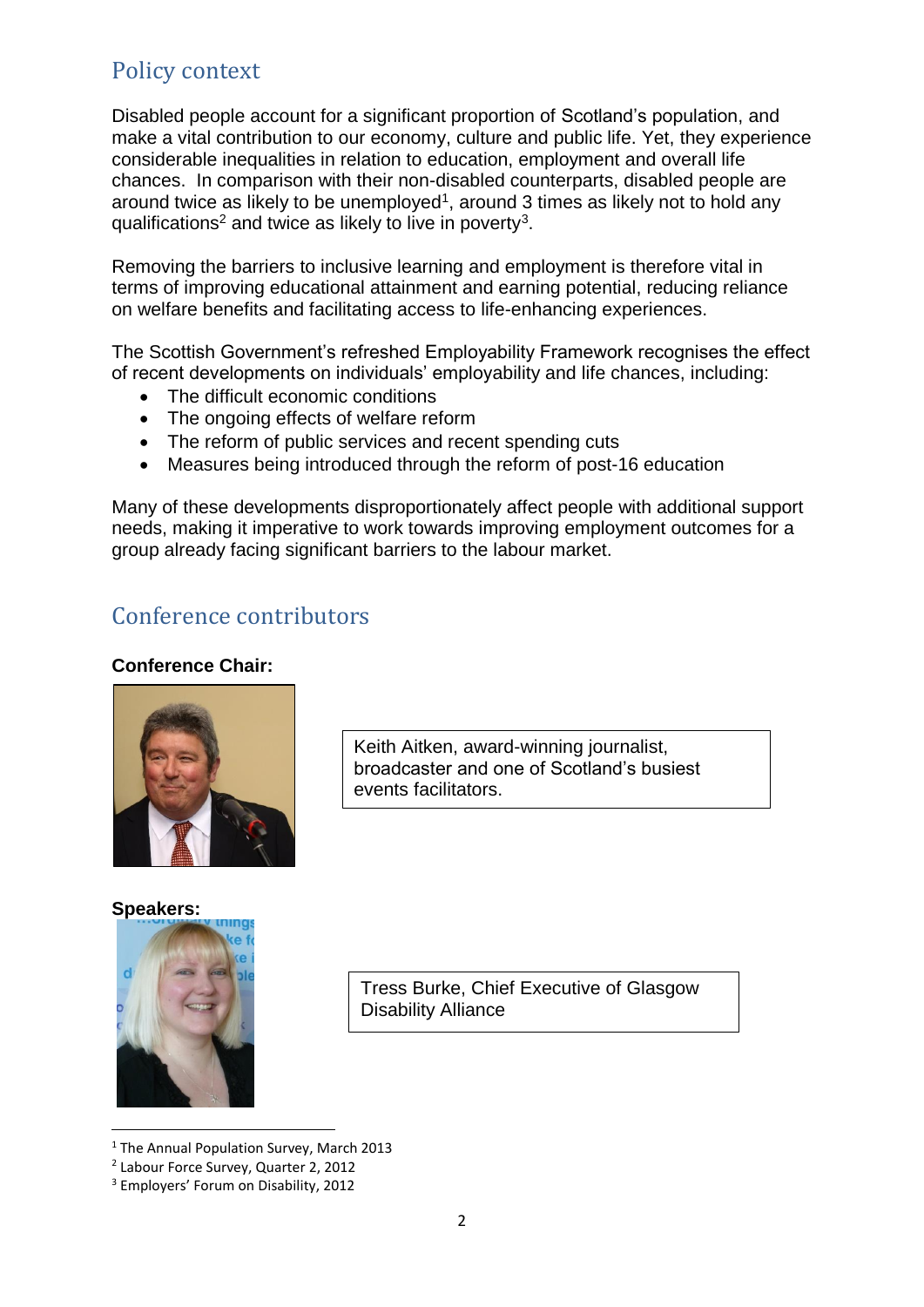# Policy context

Disabled people account for a significant proportion of Scotland's population, and make a vital contribution to our economy, culture and public life. Yet, they experience considerable inequalities in relation to education, employment and overall life chances. In comparison with their non-disabled counterparts, disabled people are around twice as likely to be unemployed<sup>1</sup>, around 3 times as likely not to hold any qualifications<sup>2</sup> and twice as likely to live in poverty<sup>3</sup>.

Removing the barriers to inclusive learning and employment is therefore vital in terms of improving educational attainment and earning potential, reducing reliance on welfare benefits and facilitating access to life-enhancing experiences.

The Scottish Government's refreshed Employability Framework recognises the effect of recent developments on individuals' employability and life chances, including:

- The difficult economic conditions
- The ongoing effects of welfare reform
- The reform of public services and recent spending cuts
- Measures being introduced through the reform of post-16 education

Many of these developments disproportionately affect people with additional support needs, making it imperative to work towards improving employment outcomes for a group already facing significant barriers to the labour market.

# Conference contributors

#### **Conference Chair:**



Keith Aitken, award-winning journalist, broadcaster and one of Scotland's busiest events facilitators.

#### **Speakers:**

**.** 



Tress Burke, Chief Executive of Glasgow Disability Alliance

<sup>&</sup>lt;sup>1</sup> The Annual Population Survey, March 2013

<sup>2</sup> Labour Force Survey, Quarter 2, 2012

<sup>3</sup> Employers' Forum on Disability, 2012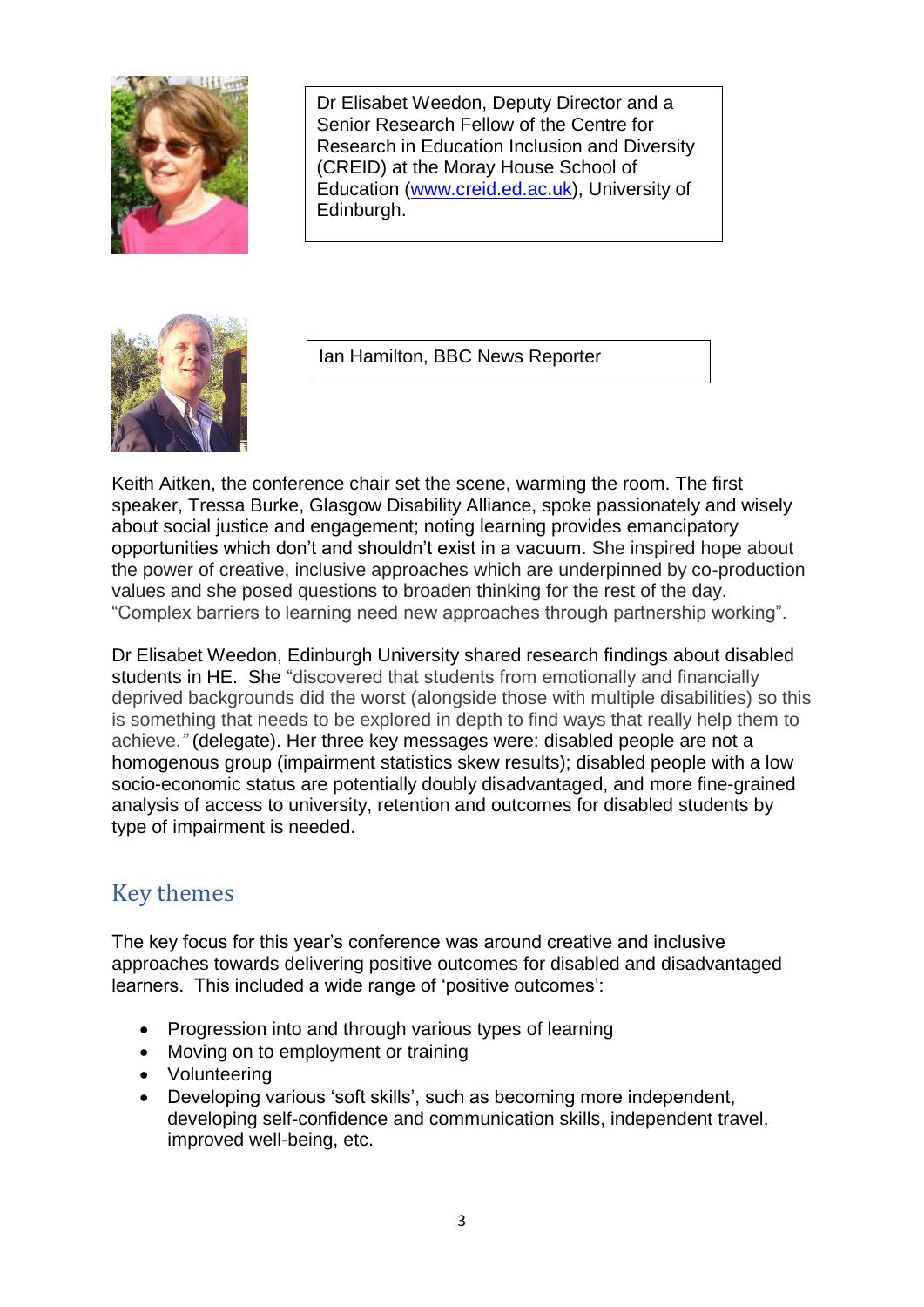

Dr Elisabet Weedon, Deputy Director and a Senior Research Fellow of the Centre for Research in Education Inclusion and Diversity (CREID) at the Moray House School of Education [\(www.creid.ed.ac.uk\)](http://www.creid.ed.ac.uk/), University of Edinburgh.



Ian Hamilton, BBC News Reporter

Keith Aitken, the conference chair set the scene, warming the room. The first speaker, Tressa Burke, Glasgow Disability Alliance, spoke passionately and wisely about social justice and engagement; noting learning provides emancipatory opportunities which don't and shouldn't exist in a vacuum. She inspired hope about the power of creative, inclusive approaches which are underpinned by co-production values and she posed questions to broaden thinking for the rest of the day. "Complex barriers to learning need new approaches through partnership working".

Dr Elisabet Weedon, Edinburgh University shared research findings about disabled students in HE. She "discovered that students from emotionally and financially deprived backgrounds did the worst (alongside those with multiple disabilities) so this is something that needs to be explored in depth to find ways that really help them to achieve.*"* (delegate). Her three key messages were: disabled people are not a homogenous group (impairment statistics skew results); disabled people with a low socio-economic status are potentially doubly disadvantaged, and more fine-grained analysis of access to university, retention and outcomes for disabled students by type of impairment is needed.

## Key themes

The key focus for this year's conference was around creative and inclusive approaches towards delivering positive outcomes for disabled and disadvantaged learners. This included a wide range of 'positive outcomes':

- Progression into and through various types of learning
- Moving on to employment or training
- Volunteering
- Developing various 'soft skills', such as becoming more independent, developing self-confidence and communication skills, independent travel, improved well-being, etc.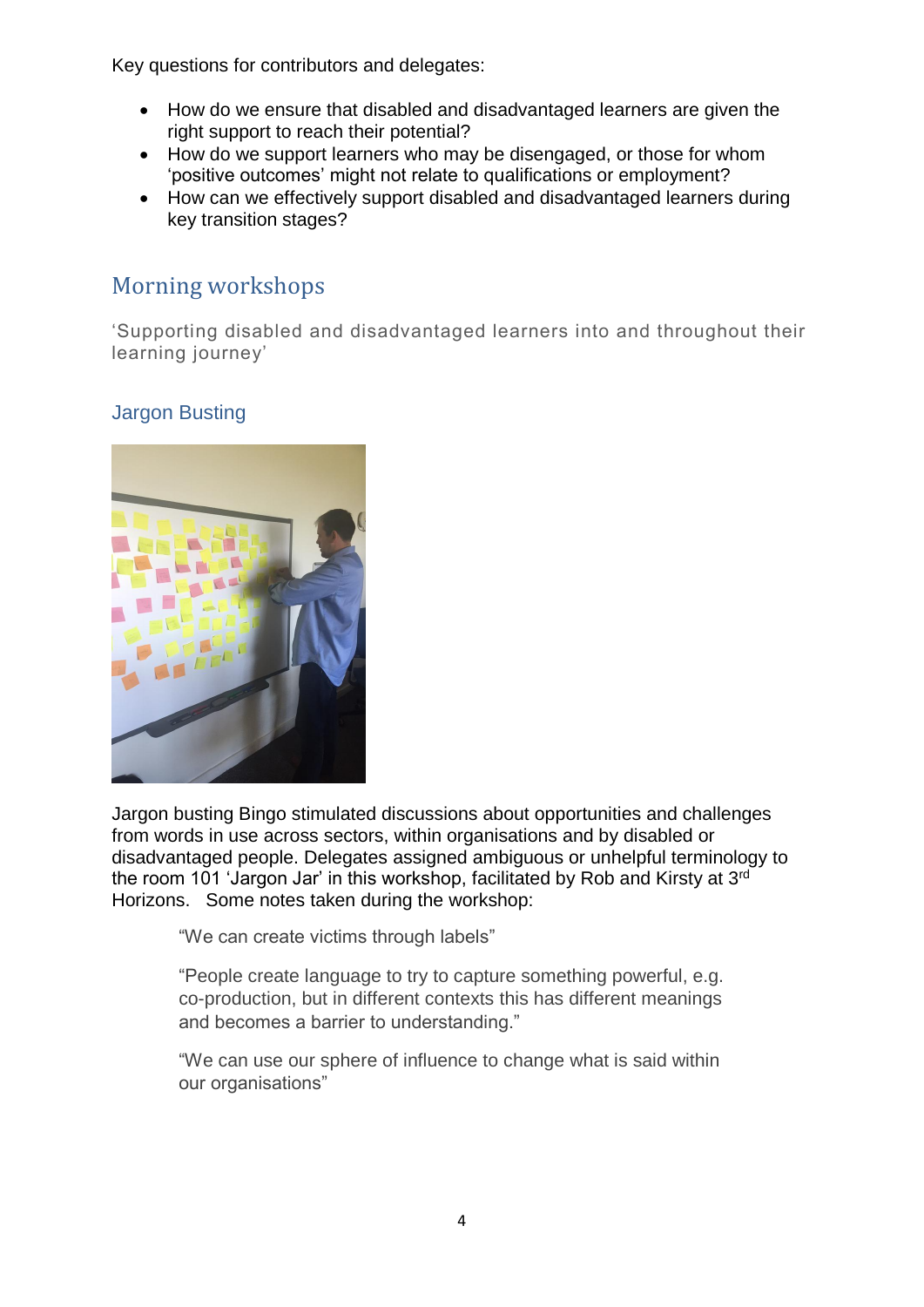Key questions for contributors and delegates:

- How do we ensure that disabled and disadvantaged learners are given the right support to reach their potential?
- How do we support learners who may be disengaged, or those for whom 'positive outcomes' might not relate to qualifications or employment?
- How can we effectively support disabled and disadvantaged learners during key transition stages?

# Morning workshops

'Supporting disabled and disadvantaged learners into and throughout their learning journey'

## Jargon Busting



Jargon busting Bingo stimulated discussions about opportunities and challenges from words in use across sectors, within organisations and by disabled or disadvantaged people. Delegates assigned ambiguous or unhelpful terminology to the room 101 'Jargon Jar' in this workshop, facilitated by Rob and Kirsty at 3<sup>rd</sup> Horizons. Some notes taken during the workshop:

"We can create victims through labels"

"People create language to try to capture something powerful, e.g. co-production, but in different contexts this has different meanings and becomes a barrier to understanding."

"We can use our sphere of influence to change what is said within our organisations"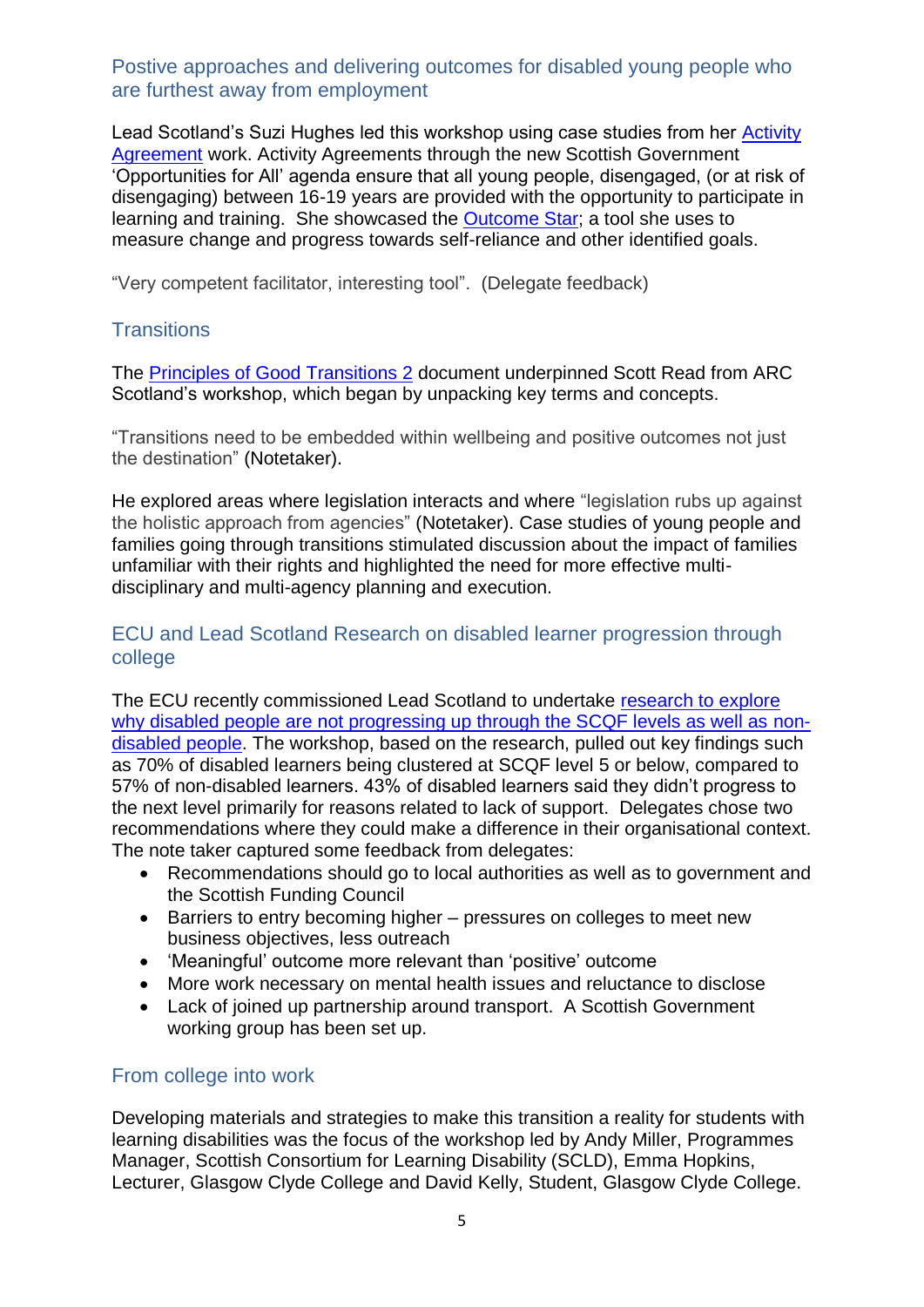#### Postive approaches and delivering outcomes for disabled young people who are furthest away from employment

Lead Scotland's Suzi Hughes led this workshop using case studies from her [Activity](http://www.youthlinkscotland.org/Index.asp?MainID=12711)  [Agreement](http://www.youthlinkscotland.org/Index.asp?MainID=12711) work. Activity Agreements through the new Scottish Government 'Opportunities for All' agenda ensure that all young people, disengaged, (or at risk of disengaging) between 16-19 years are provided with the opportunity to participate in learning and training. She showcased the [Outcome Star;](http://www.outcomesstar.org.uk/) a tool she uses to measure change and progress towards self-reliance and other identified goals.

"Very competent facilitator, interesting tool". (Delegate feedback)

#### **Transitions**

The [Principles of Good Transitions 2](http://scottishtransitions.org.uk/principles-of-good-transitions-2-2014/) document underpinned Scott Read from ARC Scotland's workshop, which began by unpacking key terms and concepts.

"Transitions need to be embedded within wellbeing and positive outcomes not just the destination" (Notetaker).

He explored areas where legislation interacts and where "legislation rubs up against the holistic approach from agencies" (Notetaker). Case studies of young people and families going through transitions stimulated discussion about the impact of families unfamiliar with their rights and highlighted the need for more effective multidisciplinary and multi-agency planning and execution.

#### ECU and Lead Scotland Research on disabled learner progression through college

The ECU recently commissioned Lead Scotland to undertake [research to explore](http://www.lead.org.uk/article.asp?art_id=456)  [why disabled people are not progressing up through the SCQF levels as well as non](http://www.lead.org.uk/article.asp?art_id=456)[disabled](http://www.lead.org.uk/article.asp?art_id=456) people. The workshop, based on the research, pulled out key findings such as 70% of disabled learners being clustered at SCQF level 5 or below, compared to 57% of non-disabled learners. 43% of disabled learners said they didn't progress to the next level primarily for reasons related to lack of support. Delegates chose two recommendations where they could make a difference in their organisational context. The note taker captured some feedback from delegates:

- Recommendations should go to local authorities as well as to government and the Scottish Funding Council
- Barriers to entry becoming higher pressures on colleges to meet new business objectives, less outreach
- 'Meaningful' outcome more relevant than 'positive' outcome
- More work necessary on mental health issues and reluctance to disclose
- Lack of joined up partnership around transport. A Scottish Government working group has been set up.

#### From college into work

Developing materials and strategies to make this transition a reality for students with learning disabilities was the focus of the workshop led by Andy Miller, Programmes Manager, Scottish Consortium for Learning Disability (SCLD), Emma Hopkins, Lecturer, Glasgow Clyde College and David Kelly, Student, Glasgow Clyde College.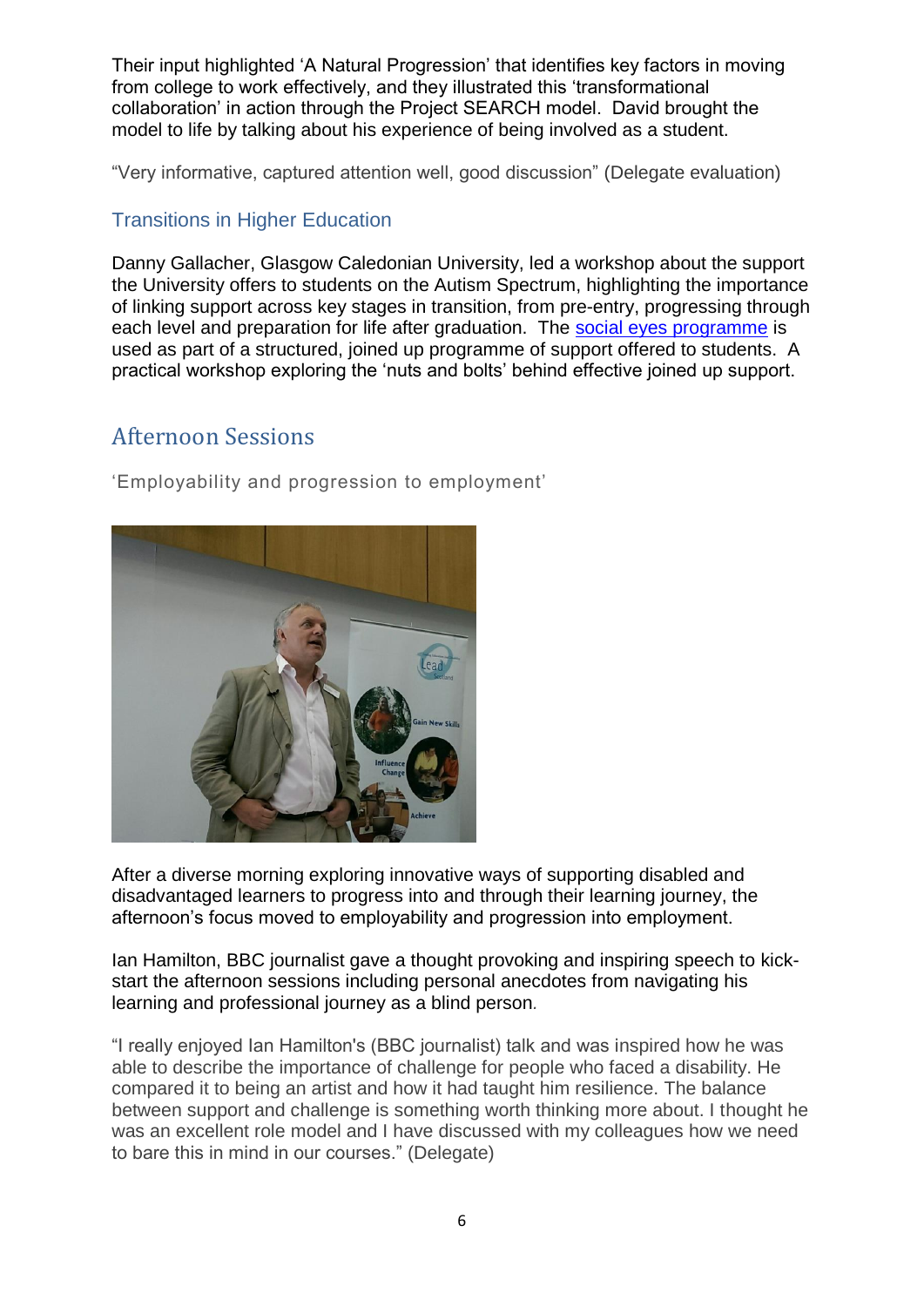Their input highlighted 'A Natural Progression' that identifies key factors in moving from college to work effectively, and they illustrated this 'transformational collaboration' in action through the Project SEARCH model. David brought the model to life by talking about his experience of being involved as a student.

"Very informative, captured attention well, good discussion" (Delegate evaluation)

#### Transitions in Higher Education

Danny Gallacher, Glasgow Caledonian University, led a workshop about the support the University offers to students on the Autism Spectrum, highlighting the importance of linking support across key stages in transition, from pre-entry, progressing through each level and preparation for life after graduation. The [social eyes programme](http://www.autism.org.uk/products/dvd-media-or-software/socialeyes.aspx) is used as part of a structured, joined up programme of support offered to students. A practical workshop exploring the 'nuts and bolts' behind effective joined up support.

## Afternoon Sessions

'Employability and progression to employment'



After a diverse morning exploring innovative ways of supporting disabled and disadvantaged learners to progress into and through their learning journey, the afternoon's focus moved to employability and progression into employment.

Ian Hamilton, BBC journalist gave a thought provoking and inspiring speech to kickstart the afternoon sessions including personal anecdotes from navigating his learning and professional journey as a blind person*.*

"I really enjoyed Ian Hamilton's (BBC journalist) talk and was inspired how he was able to describe the importance of challenge for people who faced a disability. He compared it to being an artist and how it had taught him resilience. The balance between support and challenge is something worth thinking more about. I thought he was an excellent role model and I have discussed with my colleagues how we need to bare this in mind in our courses." (Delegate)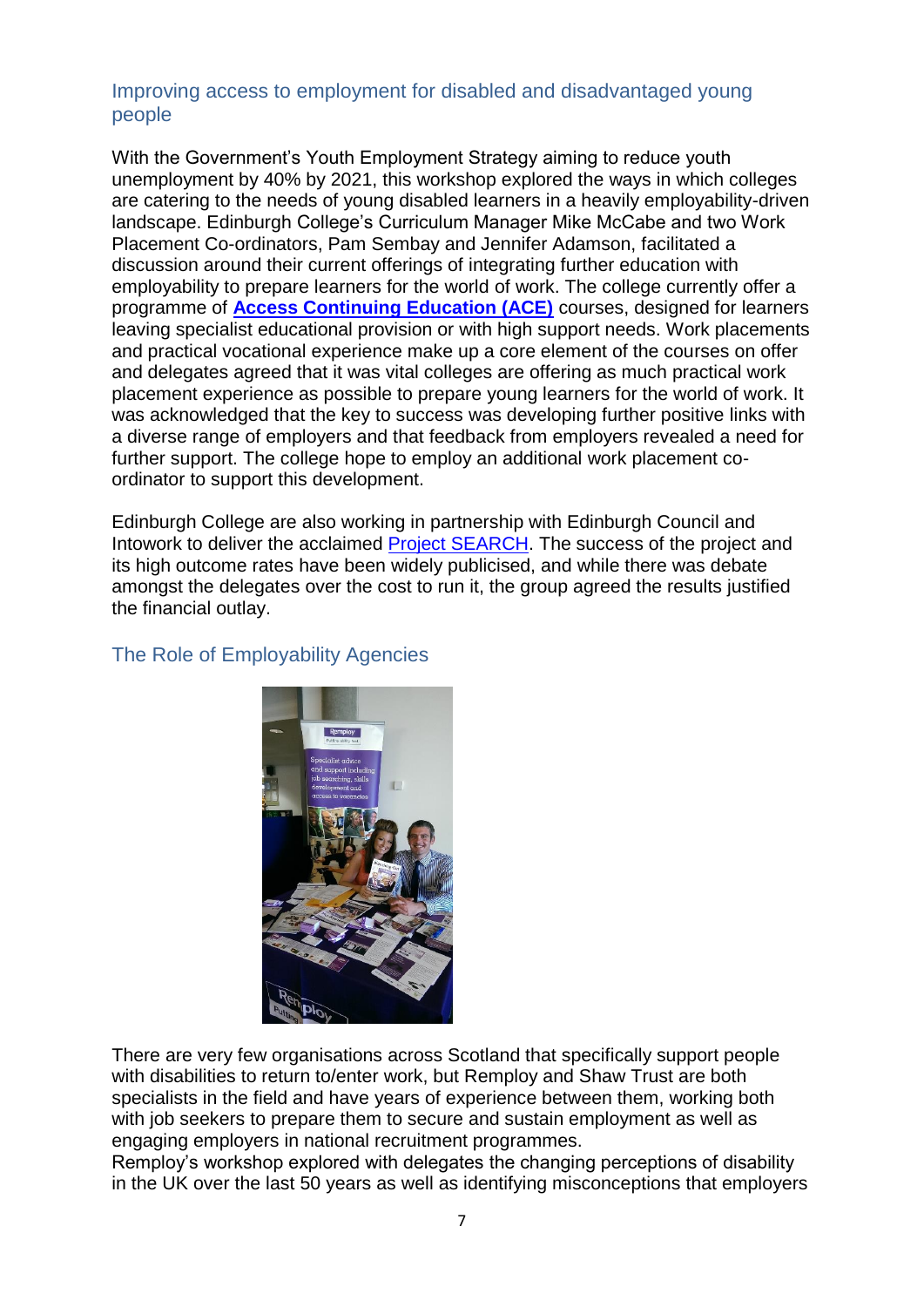#### Improving access to employment for disabled and disadvantaged young people

With the Government's Youth Employment Strategy aiming to reduce youth unemployment by 40% by 2021, this workshop explored the ways in which colleges are catering to the needs of young disabled learners in a heavily employability-driven landscape. Edinburgh College's Curriculum Manager Mike McCabe and two Work Placement Co-ordinators, Pam Sembay and Jennifer Adamson, facilitated a discussion around their current offerings of integrating further education with employability to prepare learners for the world of work. The college currently offer a programme of **[Access Continuing Education \(ACE\)](http://www.edinburghcollege.ac.uk/courses/community_and_outreach.aspx?f=true&p=true&e=true&d=true&b=true&w=true&co=false&ca=true&ce=false&cl=false&pt=false&alpha=undefined&keyword=undefined&filter=access#coursesBookmark)** courses, designed for learners leaving specialist educational provision or with high support needs. Work placements and practical vocational experience make up a core element of the courses on offer and delegates agreed that it was vital colleges are offering as much practical work placement experience as possible to prepare young learners for the world of work. It was acknowledged that the key to success was developing further positive links with a diverse range of employers and that feedback from employers revealed a need for further support. The college hope to employ an additional work placement coordinator to support this development.

Edinburgh College are also working in partnership with Edinburgh Council and Intowork to deliver the acclaimed [Project SEARCH.](http://www.projectsearch.us/) The success of the project and its high outcome rates have been widely publicised, and while there was debate amongst the delegates over the cost to run it, the group agreed the results justified the financial outlay.



#### The Role of Employability Agencies

There are very few organisations across Scotland that specifically support people with disabilities to return to/enter work, but Remploy and Shaw Trust are both specialists in the field and have years of experience between them, working both with job seekers to prepare them to secure and sustain employment as well as engaging employers in national recruitment programmes.

Remploy's workshop explored with delegates the changing perceptions of disability in the UK over the last 50 years as well as identifying misconceptions that employers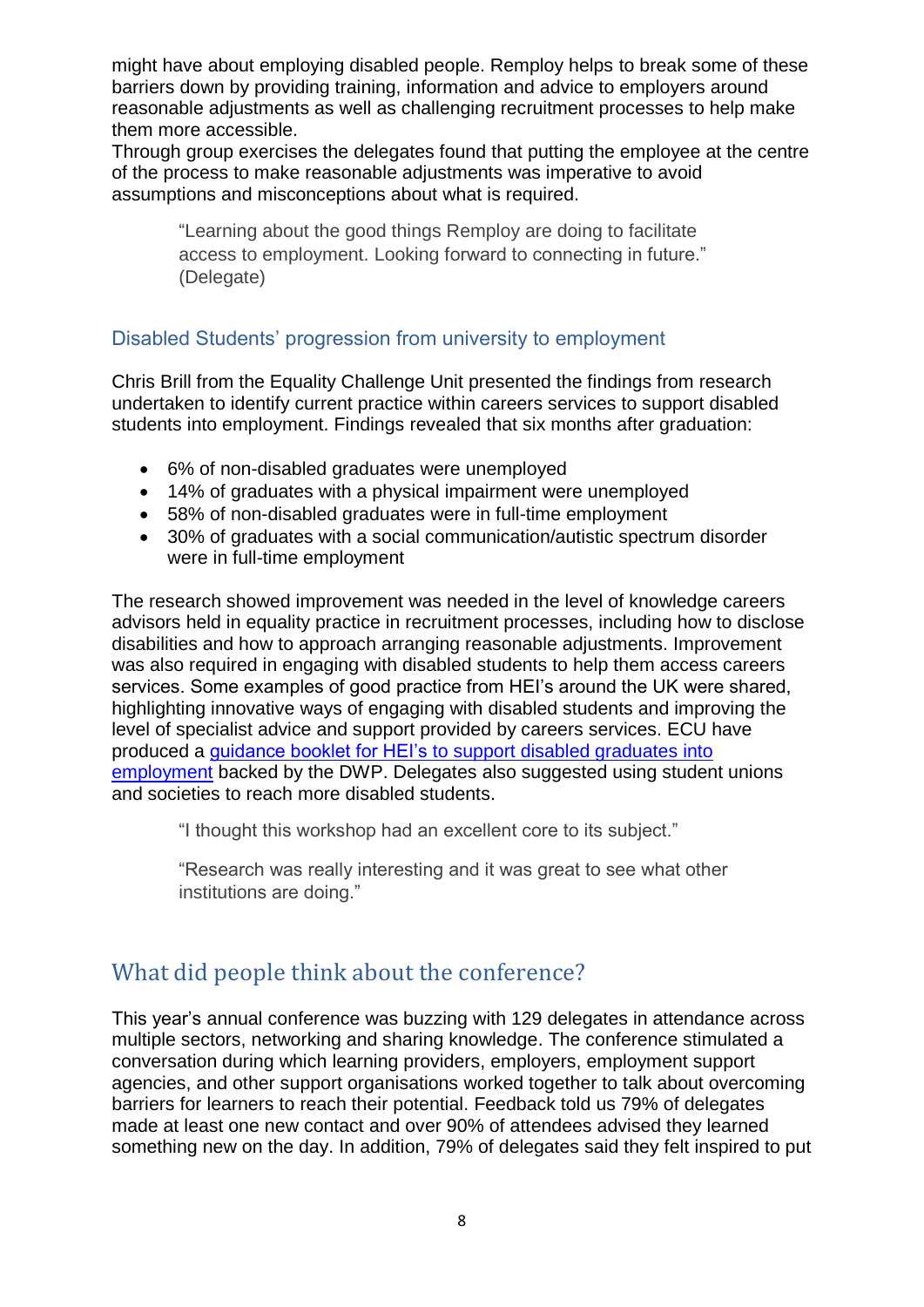might have about employing disabled people. Remploy helps to break some of these barriers down by providing training, information and advice to employers around reasonable adjustments as well as challenging recruitment processes to help make them more accessible.

Through group exercises the delegates found that putting the employee at the centre of the process to make reasonable adjustments was imperative to avoid assumptions and misconceptions about what is required.

"Learning about the good things Remploy are doing to facilitate access to employment. Looking forward to connecting in future." (Delegate)

#### Disabled Students' progression from university to employment

Chris Brill from the Equality Challenge Unit presented the findings from research undertaken to identify current practice within careers services to support disabled students into employment. Findings revealed that six months after graduation:

- 6% of non-disabled graduates were unemployed
- 14% of graduates with a physical impairment were unemployed
- 58% of non-disabled graduates were in full-time employment
- 30% of graduates with a social communication/autistic spectrum disorder were in full-time employment

The research showed improvement was needed in the level of knowledge careers advisors held in equality practice in recruitment processes, including how to disclose disabilities and how to approach arranging reasonable adjustments. Improvement was also required in engaging with disabled students to help them access careers services. Some examples of good practice from HEI's around the UK were shared, highlighting innovative ways of engaging with disabled students and improving the level of specialist advice and support provided by careers services. ECU have produced a [guidance booklet for HEI's to support disabled graduates into](http://www.ecu.ac.uk/wp-content/uploads/2014/11/ECU_Supporting-Disabled-Students-Report-2014_v6.pdf)  [employment](http://www.ecu.ac.uk/wp-content/uploads/2014/11/ECU_Supporting-Disabled-Students-Report-2014_v6.pdf) backed by the DWP. Delegates also suggested using student unions and societies to reach more disabled students.

"I thought this workshop had an excellent core to its subject."

"Research was really interesting and it was great to see what other institutions are doing."

# What did people think about the conference?

This year's annual conference was buzzing with 129 delegates in attendance across multiple sectors, networking and sharing knowledge. The conference stimulated a conversation during which learning providers, employers, employment support agencies, and other support organisations worked together to talk about overcoming barriers for learners to reach their potential. Feedback told us 79% of delegates made at least one new contact and over 90% of attendees advised they learned something new on the day. In addition, 79% of delegates said they felt inspired to put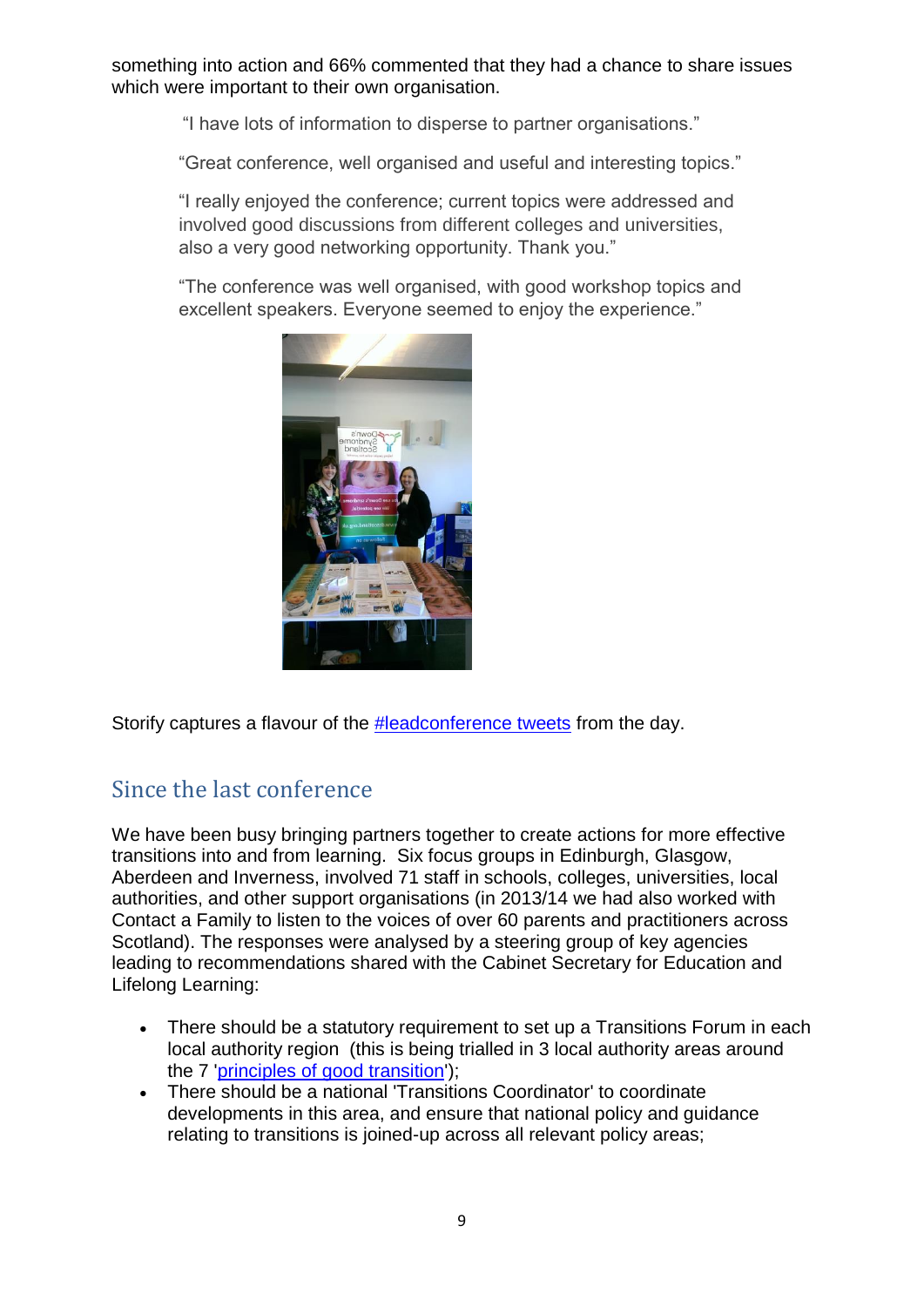something into action and 66% commented that they had a chance to share issues which were important to their own organisation.

"I have lots of information to disperse to partner organisations."

"Great conference, well organised and useful and interesting topics."

"I really enjoyed the conference; current topics were addressed and involved good discussions from different colleges and universities, also a very good networking opportunity. Thank you."

"The conference was well organised, with good workshop topics and excellent speakers. Everyone seemed to enjoy the experience."



Storify captures a flavour of the [#leadconference tweets](https://storify.com/ewhitelock/lead-scotland-conference-2015?awesm=sfy.co_q0YXB&utm_medium=sfy.co-twitter&utm_campaign&utm_content=storify-pingback&utm_source=t.co) from the day.

# Since the last conference

We have been busy bringing partners together to create actions for more effective transitions into and from learning. Six focus groups in Edinburgh, Glasgow, Aberdeen and Inverness, involved 71 staff in schools, colleges, universities, local authorities, and other support organisations (in 2013/14 we had also worked with Contact a Family to listen to the voices of over 60 parents and practitioners across Scotland). The responses were analysed by a steering group of key agencies leading to recommendations shared with the Cabinet Secretary for Education and Lifelong Learning:

- There should be a statutory requirement to set up a Transitions Forum in each local authority region (this is being trialled in 3 local authority areas around the 7 ['principles of good transition'\)](http://scottishtransitions.org.uk/principles-of-good-transitions-2-2014/);
- There should be a national 'Transitions Coordinator' to coordinate developments in this area, and ensure that national policy and guidance relating to transitions is joined-up across all relevant policy areas;